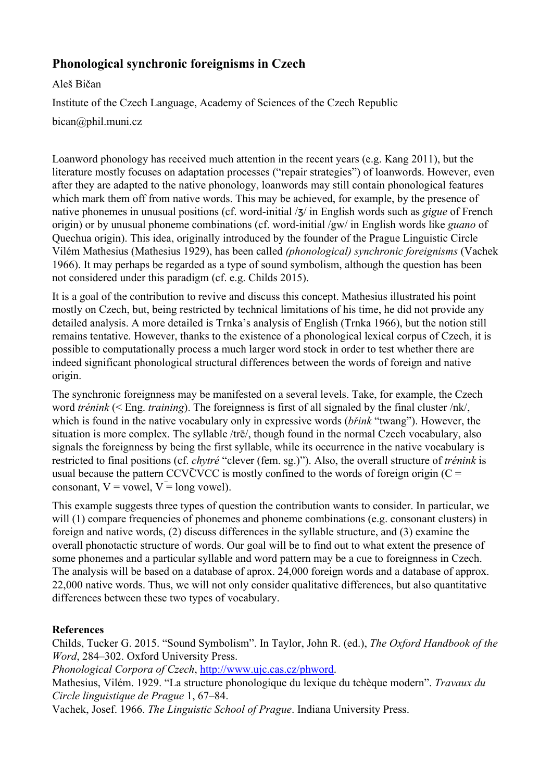## **Phonological synchronic foreignisms in Czech**

Aleš Bičan

Institute of the Czech Language, Academy of Sciences of the Czech Republic

bican@phil.muni.cz

Loanword phonology has received much attention in the recent years (e.g. Kang 2011), but the literature mostly focuses on adaptation processes ("repair strategies") of loanwords. However, even after they are adapted to the native phonology, loanwords may still contain phonological features which mark them off from native words. This may be achieved, for example, by the presence of native phonemes in unusual positions (cf. word-initial / $\frac{1}{3}$  in English words such as *gigue* of French origin) or by unusual phoneme combinations (cf. word-initial /gw/ in English words like *guano* of Quechua origin). This idea, originally introduced by the founder of the Prague Linguistic Circle Vilém Mathesius (Mathesius 1929), has been called *(phonological) synchronic foreignisms* (Vachek 1966). It may perhaps be regarded as a type of sound symbolism, although the question has been not considered under this paradigm (cf. e.g. Childs 2015).

It is a goal of the contribution to revive and discuss this concept. Mathesius illustrated his point mostly on Czech, but, being restricted by technical limitations of his time, he did not provide any detailed analysis. A more detailed is Trnka's analysis of English (Trnka 1966), but the notion still remains tentative. However, thanks to the existence of a phonological lexical corpus of Czech, it is possible to computationally process a much larger word stock in order to test whether there are indeed significant phonological structural differences between the words of foreign and native origin.

The synchronic foreignness may be manifested on a several levels. Take, for example, the Czech word *trénink* (< Eng. *training*). The foreignness is first of all signaled by the final cluster /nk/, which is found in the native vocabulary only in expressive words (*břink* "twang"). However, the situation is more complex. The syllable /trē/, though found in the normal Czech vocabulary, also signals the foreignness by being the first syllable, while its occurrence in the native vocabulary is restricted to final positions (cf. *chytré* "clever (fem. sg.)"). Also, the overall structure of *trénink* is usual because the pattern CCV $\overline{C}$ VCC is mostly confined to the words of foreign origin (C = consonant,  $V =$  yowel,  $V =$  long yowel).

This example suggests three types of question the contribution wants to consider. In particular, we will (1) compare frequencies of phonemes and phoneme combinations (e.g. consonant clusters) in foreign and native words, (2) discuss differences in the syllable structure, and (3) examine the overall phonotactic structure of words. Our goal will be to find out to what extent the presence of some phonemes and a particular syllable and word pattern may be a cue to foreignness in Czech. The analysis will be based on a database of aprox. 24,000 foreign words and a database of approx. 22,000 native words. Thus, we will not only consider qualitative differences, but also quantitative differences between these two types of vocabulary.

## **References**

Childs, Tucker G. 2015. "Sound Symbolism". In Taylor, John R. (ed.), *The Oxford Handbook of the Word*, 284–302. Oxford University Press.

*Phonological Corpora of Czech*, [http://www.ujc.cas.cz/phword.](http://www.ujc.cas.cz/phword)

Mathesius, Vilém. 1929. "La structure phonologique du lexique du tchèque modern". *Travaux du Circle linguistique de Prague* 1, 67–84.

Vachek, Josef. 1966. *The Linguistic School of Prague*. Indiana University Press.